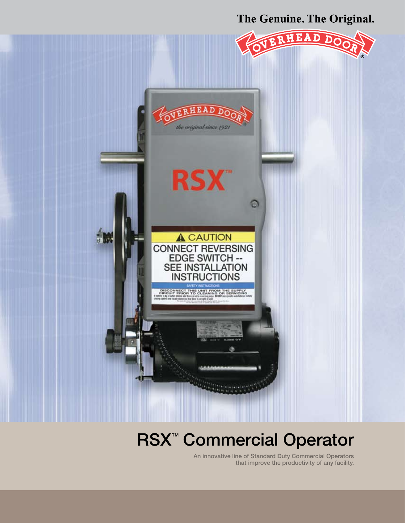The Genuine. The Original.



# **RSX<sup>™</sup> Commercial Operator**

An innovative line of Standard Duty Commercial Operators that improve the productivity of any facility.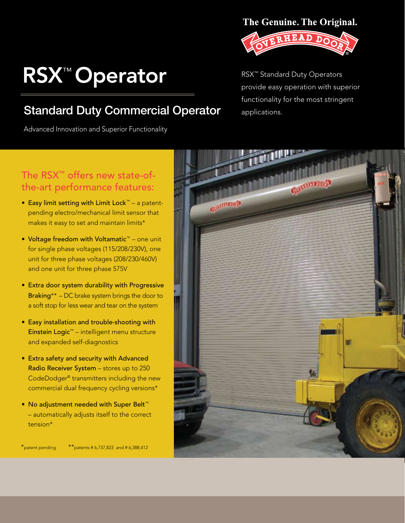# RSX™ Operator

### Standard Duty Commercial Operator applications.

Advanced Innovation and Superior Functionality

#### The Genuine. The Original.



RSX™ Standard Duty Operators provide easy operation with superior functionality for the most stringent

### The RSX™ offers new state-ofthe-art performance features:

- • Easy limit setting with Limit Lock™ a patentpending electro/mechanical limit sensor that makes it easy to set and maintain limits\*
- • Voltage freedom with Voltamatic™ one unit for single phase voltages (115/208/230V), one unit for three phase voltages (208/230/460V) and one unit for three phase 575V
- Extra door system durability with Progressive Braking\*\* – DC brake system brings the door to a soft stop for less wear and tear on the system
- Easy installation and trouble-shooting with Einstein Logic™ – intelligent menu structure and expanded self-diagnostics
- Extra safety and security with Advanced Radio Receiver System – stores up to 250 CodeDodger® transmitters including the new commercial dual frequency cycling versions\*
- • No adjustment needed with Super Belt™ – automatically adjusts itself to the correct tension\*



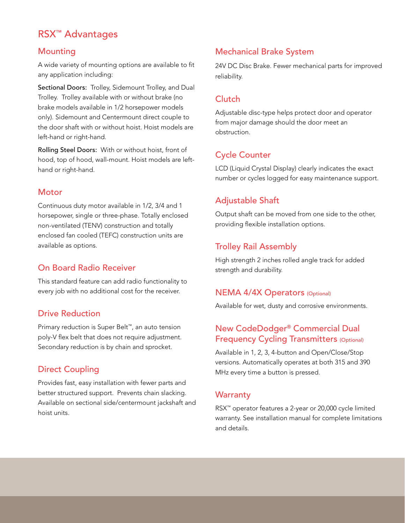#### RSX™ Advantages

#### Mounting

A wide variety of mounting options are available to fit any application including:

Sectional Doors: Trolley, Sidemount Trolley, and Dual Trolley. Trolley available with or without brake (no brake models available in 1/2 horsepower models only). Sidemount and Centermount direct couple to the door shaft with or without hoist. Hoist models are left-hand or right-hand.

Rolling Steel Doors: With or without hoist, front of hood, top of hood, wall-mount. Hoist models are lefthand or right-hand.

#### **Motor**

Continuous duty motor available in 1/2, 3/4 and 1 horsepower, single or three-phase. Totally enclosed non-ventilated (TENV) construction and totally enclosed fan cooled (TEFC) construction units are available as options.

#### On Board Radio Receiver

This standard feature can add radio functionality to every job with no additional cost for the receiver.

#### Drive Reduction

Primary reduction is Super Belt™, an auto tension poly-V flex belt that does not require adjustment. Secondary reduction is by chain and sprocket.

#### Direct Coupling

Provides fast, easy installation with fewer parts and better structured support. Prevents chain slacking. Available on sectional side/centermount jackshaft and hoist units.

#### Mechanical Brake System

24V DC Disc Brake. Fewer mechanical parts for improved reliability.

#### **Clutch**

Adjustable disc-type helps protect door and operator from major damage should the door meet an obstruction.

#### Cycle Counter

LCD (Liquid Crystal Display) clearly indicates the exact number or cycles logged for easy maintenance support.

#### Adjustable Shaft

Output shaft can be moved from one side to the other, providing flexible installation options.

#### Trolley Rail Assembly

High strength 2 inches rolled angle track for added strength and durability.

#### NEMA 4/4X Operators (Optional)

Available for wet, dusty and corrosive environments.

#### New CodeDodger® Commercial Dual Frequency Cycling Transmitters (Optional)

Available in 1, 2, 3, 4-button and Open/Close/Stop versions. Automatically operates at both 315 and 390 MHz every time a button is pressed.

#### **Warranty**

RSX™ operator features a 2-year or 20,000 cycle limited warranty. See installation manual for complete limitations and details.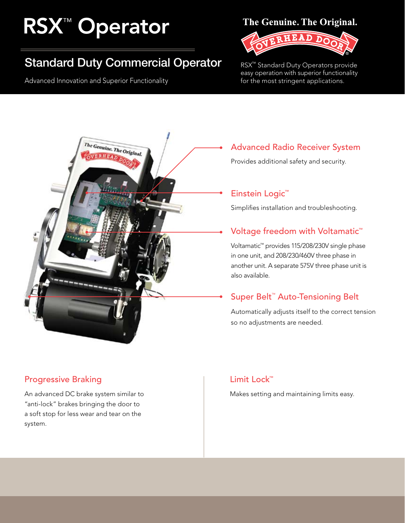# **RSX<sup>™</sup> Operator**

## Standard Duty Commercial Operator

Advanced Innovation and Superior Functionality

#### The Genuine. The Original.



RSX™ Standard Duty Operators provide easy operation with superior functionality for the most stringent applications.



#### Progressive Braking

An advanced DC brake system similar to "anti-lock" brakes bringing the door to a soft stop for less wear and tear on the system.

# Advanced Radio Receiver System

Provides additional safety and security.

#### Einstein Logic™

Simplifies installation and troubleshooting.

#### Voltage freedom with Voltamatic<sup>™</sup>

Voltamatic™ provides 115/208/230V single phase in one unit, and 208/230/460V three phase in another unit. A separate 575V three phase unit is also available.

#### Super Belt<sup>™</sup> Auto-Tensioning Belt

Automatically adjusts itself to the correct tension so no adjustments are needed.

#### Limit Lock™

Makes setting and maintaining limits easy.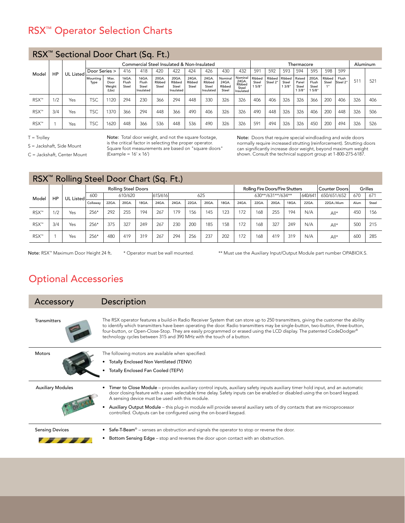### RSX™ Operator Selection Charts

| RSX <sup>™</sup> Sectional Door Chart (Sq. Ft.) |     |                  |                  |                                            |                         |                                      |                          |                                       |                          |                                      |                                     |                                                 |                         |                    |                          |                                   |                                  |                        |                   |          |     |
|-------------------------------------------------|-----|------------------|------------------|--------------------------------------------|-------------------------|--------------------------------------|--------------------------|---------------------------------------|--------------------------|--------------------------------------|-------------------------------------|-------------------------------------------------|-------------------------|--------------------|--------------------------|-----------------------------------|----------------------------------|------------------------|-------------------|----------|-----|
| Model                                           | HP  |                  |                  | Commercial Steel Insulated & Non-Insulated |                         |                                      |                          |                                       |                          |                                      |                                     |                                                 | Thermacore              |                    |                          |                                   |                                  |                        |                   | Aluminum |     |
|                                                 |     | <b>UL Listed</b> | Door Series >    |                                            | 416                     | 418                                  | 420<br>422               |                                       | 424                      | 426                                  | 432<br>430                          |                                                 | 591                     | 592<br>593         |                          | 594                               | 595                              | 598                    | 599               |          |     |
|                                                 |     |                  | Mountina<br>Type | Max.<br>Door<br>Weight<br>(Lbs)            | 16GA.<br>Flush<br>Steel | 16GA.<br>Flush<br>Steel<br>Insulated | 20GA.<br>Ribbed<br>Steel | 20GA.<br>Ribbed<br>Steel<br>Insulated | 24GA.<br>Ribbed<br>Steel | 24GA<br>Ribbed<br>Steel<br>Insulated | Nominal<br>24GA.<br>Ribbed<br>Steel | Nominal<br>24GA<br>Ribbed<br>Steel<br>Insulated | Ribbed<br>Steel<br>5/8" | Ribbed<br>Steel 2" | Ribbed<br>Steel<br>13/8" | Raised<br>Panel<br>Steel<br>13/8" | 20GA.<br>Flush<br>Steel<br>15/8" | Ribbed<br>Steel<br>1 . | Flush<br>Steel 2" | 511      | 521 |
| RSX™                                            | 1/2 | Yes              | <b>TSC</b>       | 1120                                       | 294                     | 230                                  | 366                      | 294                                   | 448                      | 330                                  | 326                                 | 326                                             | 406                     | 406                | 326                      | 326                               | 366                              | 200                    | 406               | 326      | 406 |
| RSX™                                            | 3/4 | Yes              | <b>TSC</b>       | 1370                                       | 366                     | 294                                  | 448                      | 366                                   | 490                      | 406                                  | 326                                 | 326                                             | 490                     | 448                | 326                      | 326                               | 406                              | 200                    | 448               | 326      | 506 |
| RSX <sup>™</sup>                                |     | Yes              | <b>TSC</b>       | 1620                                       | 448                     | 366                                  | 536                      | 448                                   | 536                      | 490                                  | 326                                 | 326                                             | 591                     | 494                | 326                      | 326                               | 450                              | 200                    | 494               | 326      | 526 |

 $T =$ Trolley

S = Jackshaft, Side Mount

C = Jackshaft, Center Mount

Note: Total door weight, and not the square footage, is the critical factor in selecting the proper operator. Square foot measurements are based on "square doors"

(Example = 16' x 16')

Note: Doors that require special windloading and wide doors normally require increased strutting (reinforcement). Strutting doors can significantly increase door weight, beyond maximum weight shown. Consult the technical support group at 1-800-275-6187.

| RSX <sup>™</sup> Rolling Steel Door Chart (Sq. Ft.) |     |           |                |                            |       |         |       |       |       |       |       |       |                   |                                  |         |               |            |      |       |
|-----------------------------------------------------|-----|-----------|----------------|----------------------------|-------|---------|-------|-------|-------|-------|-------|-------|-------------------|----------------------------------|---------|---------------|------------|------|-------|
|                                                     |     |           |                | <b>Rolling Steel Doors</b> |       |         |       |       |       |       |       |       |                   | Rolling Fire Doors/Fire Shutters |         | Counter Doors | Grilles    |      |       |
| Model                                               | HP  | UL Listed | 610/620<br>600 |                            |       | 615/616 | 625   |       |       |       |       |       | 630**/631**/634** |                                  | 640/641 | 650/651/652   | 670<br>671 |      |       |
|                                                     |     |           | Collaway       | 22GA.                      | 20GA. | 18GA.   | 24GA. | 24GA. | 22GA. | 20GA. | 18GA. | 24GA. | 22GA.             | 20GA.                            | 18GA.   | 22GA.         | 22GA./Alum | Alum | Steel |
| RSX™                                                | 12  | Yes       | $256*$         | 292                        | 255   | 194     | 267   | 179   | 156   | 145   | 123   | 172   | 168               | 255                              | 194     | N/A           | $All*$     | 450  | 156   |
| RSX™                                                | 3/4 | Yes       | $256*$         | 375                        | 327   | 249     | 267   | 230   | 200   | 185   | 158   | 172   | 168               | 327                              | 249     | N/A           | $All*$     | 500  | 215   |
| RSX™                                                |     | Yes       | $256*$         | 480                        | 419   | 319     | 267   | 294   | 256   | 237   | 202   | 172   | 168               | 419                              | 319     | N/A           | $All*$     | 600  | 285   |

Note: RSX™ Maximum Door Height 24 ft. \* Operator must be wall mounted. \*\* Must use the Auxiliary Input/Output Module part number OPABIOX.S.

#### Optional Accessories

Transmitters

Accessory Description

The RSX operator features a build-in Radio Receiver System that can store up to 250 transmitters, giving the customer the ability to identify which transmitters have been operating the door. Radio transmitters may be single-button, two-button, three-button, four-button, or Open-Close-Stop. They are easily programmed or erased using the LCD display. The patented CodeDodger® technology cycles between 315 and 390 MHz with the touch of a button.

| <b>Motors</b>            | The following motors are available when specified:<br>Totally Enclosed Non Ventilated (TENV)<br>Totally Enclosed Fan Cooled (TEFV)                                                                                                                                                                                                                                                                                                                                                                                   |
|--------------------------|----------------------------------------------------------------------------------------------------------------------------------------------------------------------------------------------------------------------------------------------------------------------------------------------------------------------------------------------------------------------------------------------------------------------------------------------------------------------------------------------------------------------|
| <b>Auxiliary Modules</b> | • Timer to Close Module - provides auxiliary control inputs, auxiliary safety inputs auxiliary timer hold input, and an automatic<br>door closing feature with a user-selectable time delay. Safety inputs can be enabled or disabled using the on board keypad.<br>A sensing device must be used with this module.<br>Auxiliary Output Module - this plug-in module will provide several auxiliary sets of dry contacts that are microprocessor<br>controlled. Outputs can be configured using the on-board keypad. |
| <b>Sensing Devices</b>   | • Safe-T-Beam® – senses an obstruction and signals the operator to stop or reverse the door.<br>Bottom Sensing Edge – stop and reverses the door upon contact with an obstruction.                                                                                                                                                                                                                                                                                                                                   |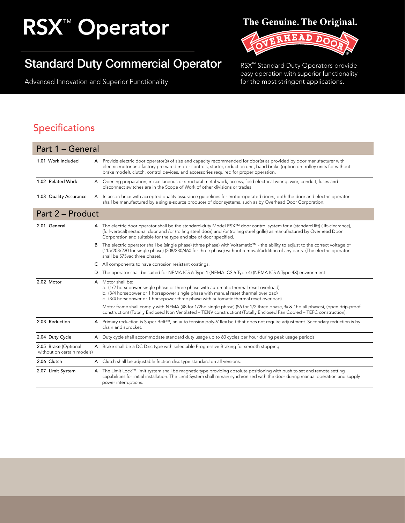# **RSX<sup>™</sup> Operator**

## Standard Duty Commercial Operator

Advanced Innovation and Superior Functionality

#### The Genuine. The Original.



RSX™ Standard Duty Operators provide easy operation with superior functionality for the most stringent applications.

#### Specifications

| Part 1 - General                                   |   |                                                                                                                                                                                                                                                                                                                                                  |
|----------------------------------------------------|---|--------------------------------------------------------------------------------------------------------------------------------------------------------------------------------------------------------------------------------------------------------------------------------------------------------------------------------------------------|
| 1.01 Work Included                                 |   | A Provide electric door operator(s) of size and capacity recommended for door(s) as provided by door manufacturer with<br>electric motor and factory pre-wired motor controls, starter, reduction unit, band brake (option on trolley units for without<br>brake model), clutch, control devices, and accessories required for proper operation. |
| 1.02 Related Work                                  | A | Opening preparation, miscellaneous or structural metal work, access, field electrical wiring, wire, conduit, fuses and<br>disconnect switches are in the Scope of Work of other divisions or trades.                                                                                                                                             |
| 1.03 Quality Assurance                             |   | A In accordance with accepted quality assurance quidelines for motor-operated doors, both the door and electric operator<br>shall be manufactured by a single-source producer of door systems, such as by Overhead Door Corporation.                                                                                                             |
| Part 2 - Product                                   |   |                                                                                                                                                                                                                                                                                                                                                  |
| 2.01 General                                       |   | A The electric door operator shall be the standard-duty Model RSX™ door control system for a (standard lift) (lift-clearance),<br>(full-vertical) sectional door and /or (rolling steel door) and /or (rolling steel grille) as manufactured by Overhead Door<br>Corporation and suitable for the type and size of door specified.               |
|                                                    | В | The electric operator shall be (single phase) (three phase) with Voltamatic™ - the ability to adjust to the correct voltage of<br>(115/208/230 for single phase) (208/230/460 for three phase) without removal/addition of any parts. (The electric operator<br>shall be 575vac three phase).                                                    |
|                                                    | С | All components to have corrosion resistant coatings.                                                                                                                                                                                                                                                                                             |
|                                                    | D | The operator shall be suited for NEMA ICS 6 Type 1 (NEMA ICS 6 Type 4) (NEMA ICS 6 Type 4X) environment.                                                                                                                                                                                                                                         |
| 2.02 Motor                                         |   | A Motor shall be:<br>a. (1/2 horsepower single phase or three phase with automatic thermal reset overload)<br>b. (3/4 horsepower or 1 horsepower single phase with manual reset thermal overload)<br>c. (3/4 horsepower or 1 horsepower three phase with automatic thermal reset overload)                                                       |
|                                                    |   | Motor frame shall comply with NEMA (48 for 1/2hp single phase) (56 for 1/2 three phase, 34 & 1hp all phases), (open drip-proof<br>construction) (Totally Enclosed Non Ventilated - TENV construction) (Totally Enclosed Fan Cooled - TEFC construction).                                                                                         |
| 2.03 Reduction                                     |   | A Primary reduction is Super Belt™, an auto tension poly-V flex belt that does not require adjustment. Secondary reduction is by<br>chain and sprocket.                                                                                                                                                                                          |
| 2.04 Duty Cycle                                    |   | A Duty cycle shall accommodate standard duty usage up to 60 cycles per hour during peak usage periods.                                                                                                                                                                                                                                           |
| 2.05 Brake (Optional<br>without on certain models) |   | A Brake shall be a DC Disc type with selectable Progressive Braking for smooth stopping.                                                                                                                                                                                                                                                         |
| 2.06 Clutch                                        | A | Clutch shall be adjustable friction disc type standard on all versions.                                                                                                                                                                                                                                                                          |
| 2.07 Limit System                                  |   | A The Limit Lock™ limit system shall be magnetic type providing absolute positioning with push to set and remote setting<br>capabilities for initial installation. The Limit System shall remain synchronized with the door during manual operation and supply<br>power interruptions.                                                           |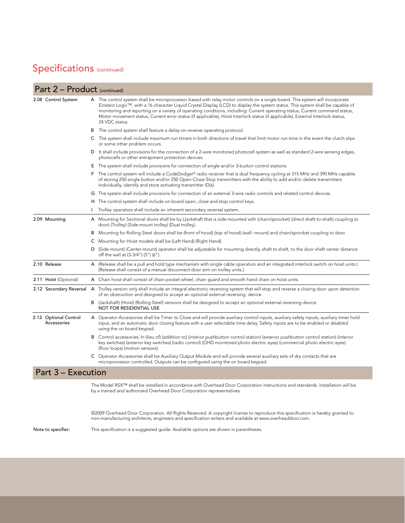#### Specifications (continued)

#### Part 2 – Product (continued)

| 2.08 Control System                  |   | A The control system shall be microprocessor based with relay motor controls on a single board. This system will incorporate<br>Einstein Logic™, with a 16 character Liquid Crystal Display (LCD) to display the system status. This system shall be capable of<br>monitoring and reporting on a variety of operating conditions, including: Current operating status, Current command status,<br>Motor movement status, Current error status (if applicable), Hoist Interlock status (if applicable), External Interlock status,<br>24 VDC status. |
|--------------------------------------|---|-----------------------------------------------------------------------------------------------------------------------------------------------------------------------------------------------------------------------------------------------------------------------------------------------------------------------------------------------------------------------------------------------------------------------------------------------------------------------------------------------------------------------------------------------------|
|                                      | В | The control system shall feature a delay-on-reverse operating protocol.                                                                                                                                                                                                                                                                                                                                                                                                                                                                             |
|                                      |   | C The system shall include maximum run timers in both directions of travel that limit motor run time in the event the clutch slips<br>or some other problem occurs.                                                                                                                                                                                                                                                                                                                                                                                 |
|                                      |   | D It shall include provisions for the connection of a 2-wire monitored photocell system as well as standard 2-wire sensing edges,<br>photocells or other entrapment protection devices.                                                                                                                                                                                                                                                                                                                                                             |
|                                      |   | E The system shall include provisions for connection of single and/or 3-button control stations.                                                                                                                                                                                                                                                                                                                                                                                                                                                    |
|                                      |   | F The control system will include a CodeDodger® radio receiver that is dual frequency cycling at 315 MHz and 390 MHz capable<br>of storing 250 single button and/or 250 Open-Close-Stop transmitters with the ability to add and/or delete transmitters<br>individually, identify and store activating transmitter ID(s).                                                                                                                                                                                                                           |
|                                      |   | G The system shall include provisions for connection of an external 3-wire radio controls and related control devices.                                                                                                                                                                                                                                                                                                                                                                                                                              |
|                                      |   | H The control system shall include on board open, close and stop control keys.                                                                                                                                                                                                                                                                                                                                                                                                                                                                      |
|                                      |   | Trolley operators shall include an inherent secondary reversal system.                                                                                                                                                                                                                                                                                                                                                                                                                                                                              |
| 2.09 Mounting                        |   | A Mounting for Sectional doors shall be by (Jackshaft that is side-mounted with (chain/sprocket) (direct shaft-to-shaft) coupling to<br>door) (Trolley) (Side-mount trolley) (Dual trolley).                                                                                                                                                                                                                                                                                                                                                        |
|                                      |   | B Mounting for Rolling Steel doors shall be (front of hood) (top of hood) (wall- mount) and chain/sprocket coupling to door.                                                                                                                                                                                                                                                                                                                                                                                                                        |
|                                      |   | C Mounting for Hoist models shall be (Left Hand) (Right Hand).                                                                                                                                                                                                                                                                                                                                                                                                                                                                                      |
|                                      |   | D (Side-mount) (Center-mount) operator shall be adjustable for mounting directly, shaft to shaft, to the door shaft center distance<br>off the wall at (3-3/4") (5") (6").                                                                                                                                                                                                                                                                                                                                                                          |
| 2.10 Release                         |   | A (Release shall be a pull and hold type mechanism with single cable operation and an integrated interlock switch on hoist units.)<br>(Release shall consist of a manual disconnect door arm on trolley units.)                                                                                                                                                                                                                                                                                                                                     |
| 2.11 Hoist (Optional)                |   | A Chain hoist shall consist of chain pocket wheel, chain quard and smooth hand chain on hoist units.                                                                                                                                                                                                                                                                                                                                                                                                                                                |
| 2.12 Secondary Reversal              |   | A Trolley version only shall include an integral electronic reversing system that will stop and reverse a closing door upon detection<br>of an obstruction and designed to accept an optional external reversing device.                                                                                                                                                                                                                                                                                                                            |
|                                      |   | B (Jackshaft) (Hoist) (Rolling Steel) versions shall be designed to accept an optional external reversing device.<br><b>NOT FOR RESIDENTIAL USE</b>                                                                                                                                                                                                                                                                                                                                                                                                 |
| 2.13 Optional Control<br>Accessories |   | A Operator Accessories shall be Timer to Close and will provide auxiliary control inputs, auxiliary safety inputs, auxiliary timer hold<br>input, and an automatic door closing feature with a user selectable time delay. Safety inputs are to be enabled or disabled<br>using the on board keypad.                                                                                                                                                                                                                                                |
|                                      |   | B Control accessories: In (lieu of) (addition to) (interior pushbutton control station) (exterior pushbutton control station) (interior<br>key switches) (exterior key switches) (radio control) (OHD monitored photo electric eyes) (commercial photo electric eyes)<br>(floor loops) (motion sensors).                                                                                                                                                                                                                                            |
|                                      |   | C Operator Accessories shall be Auxiliary Output Module and will provide several auxiliary sets of dry contacts that are<br>microprocessor controlled. Outputs can be configured using the on board keypad.                                                                                                                                                                                                                                                                                                                                         |
| Part 3 - Execution                   |   |                                                                                                                                                                                                                                                                                                                                                                                                                                                                                                                                                     |
|                                      |   |                                                                                                                                                                                                                                                                                                                                                                                                                                                                                                                                                     |

The Model RSX™ shall be installed in accordance with Overhead Door Corporation instructions and standards. Installation will be by a trained and authorized Overhead Door Corporation representatives.

©2009 Overhead Door Corporation. All Rights Reserved. A copyright license to reproduce this specification is hereby granted to non-manufacturing architects, engineers and specification writers and available at www.overheaddoor.com.

Note to specifier: This specification is a suggested guide. Available options are shown in parentheses.